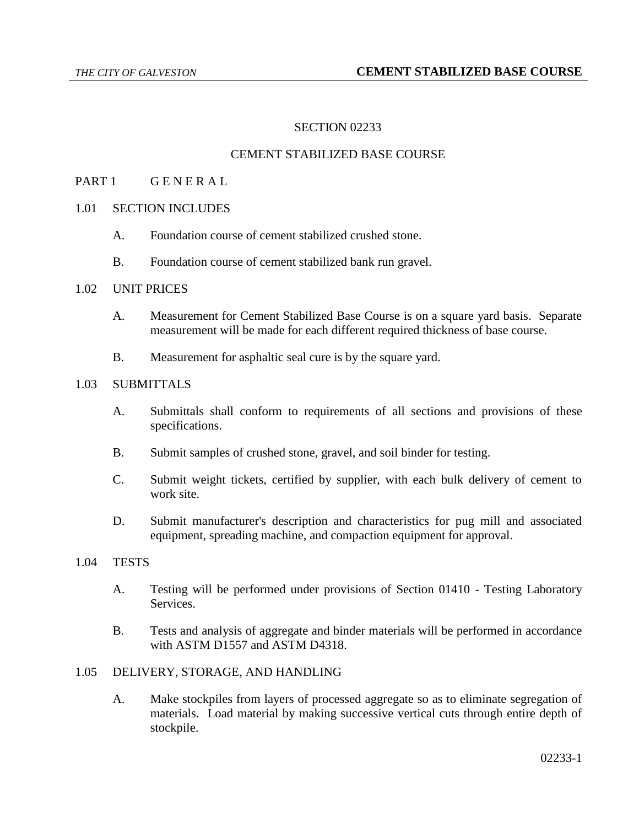# SECTION 02233

## CEMENT STABILIZED BASE COURSE

# PART 1 GENERAL

# 1.01 SECTION INCLUDES

- A. Foundation course of cement stabilized crushed stone.
- B. Foundation course of cement stabilized bank run gravel.

#### 1.02 UNIT PRICES

- A. Measurement for Cement Stabilized Base Course is on a square yard basis. Separate measurement will be made for each different required thickness of base course.
- B. Measurement for asphaltic seal cure is by the square yard.

## 1.03 SUBMITTALS

- A. Submittals shall conform to requirements of all sections and provisions of these specifications.
- B. Submit samples of crushed stone, gravel, and soil binder for testing.
- C. Submit weight tickets, certified by supplier, with each bulk delivery of cement to work site.
- D. Submit manufacturer's description and characteristics for pug mill and associated equipment, spreading machine, and compaction equipment for approval.

## 1.04 TESTS

- A. Testing will be performed under provisions of Section 01410 Testing Laboratory Services.
- B. Tests and analysis of aggregate and binder materials will be performed in accordance with ASTM D1557 and ASTM D4318.

# 1.05 DELIVERY, STORAGE, AND HANDLING

A. Make stockpiles from layers of processed aggregate so as to eliminate segregation of materials. Load material by making successive vertical cuts through entire depth of stockpile.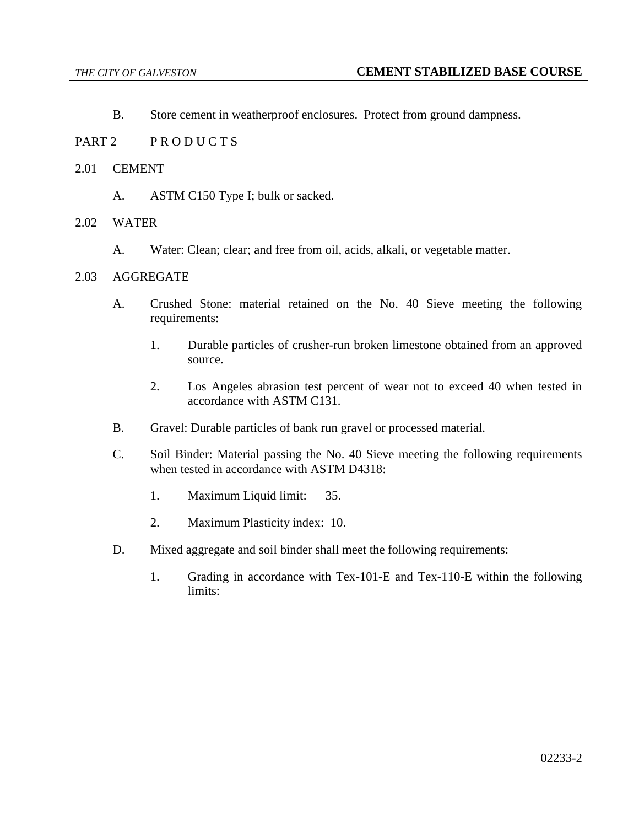- B. Store cement in weatherproof enclosures. Protect from ground dampness.
- PART 2 PRODUCTS
- 2.01 CEMENT
	- A. ASTM C150 Type I; bulk or sacked.

## 2.02 WATER

A. Water: Clean; clear; and free from oil, acids, alkali, or vegetable matter.

# 2.03 AGGREGATE

- A. Crushed Stone: material retained on the No. 40 Sieve meeting the following requirements:
	- 1. Durable particles of crusher-run broken limestone obtained from an approved source.
	- 2. Los Angeles abrasion test percent of wear not to exceed 40 when tested in accordance with ASTM C131.
- B. Gravel: Durable particles of bank run gravel or processed material.
- C. Soil Binder: Material passing the No. 40 Sieve meeting the following requirements when tested in accordance with ASTM D4318:
	- 1. Maximum Liquid limit: 35.
	- 2. Maximum Plasticity index: 10.
- D. Mixed aggregate and soil binder shall meet the following requirements:
	- 1. Grading in accordance with Tex-101-E and Tex-110-E within the following limits: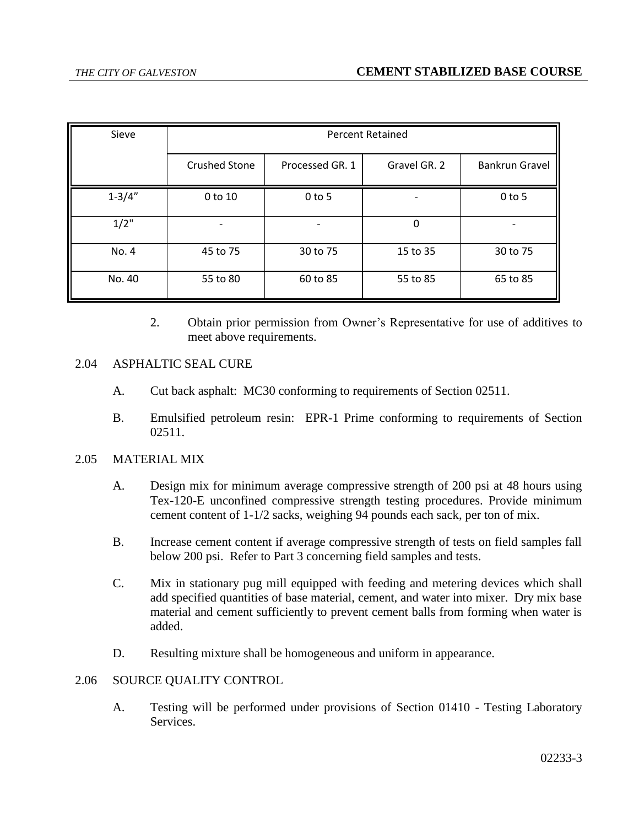| Sieve      | <b>Percent Retained</b> |                 |              |                       |
|------------|-------------------------|-----------------|--------------|-----------------------|
|            | <b>Crushed Stone</b>    | Processed GR. 1 | Gravel GR. 2 | <b>Bankrun Gravel</b> |
| $1 - 3/4"$ | 0 to 10                 | $0$ to 5        |              | $0$ to 5              |
| $1/2$ "    |                         | -               | 0            |                       |
| No. 4      | 45 to 75                | 30 to 75        | 15 to 35     | 30 to 75              |
| No. 40     | 55 to 80                | 60 to 85        | 55 to 85     | 65 to 85              |

2. Obtain prior permission from Owner's Representative for use of additives to meet above requirements.

# 2.04 ASPHALTIC SEAL CURE

- A. Cut back asphalt: MC30 conforming to requirements of Section 02511.
- B. Emulsified petroleum resin: EPR-1 Prime conforming to requirements of Section 02511.

## 2.05 MATERIAL MIX

- A. Design mix for minimum average compressive strength of 200 psi at 48 hours using Tex-120-E unconfined compressive strength testing procedures. Provide minimum cement content of 1-1/2 sacks, weighing 94 pounds each sack, per ton of mix.
- B. Increase cement content if average compressive strength of tests on field samples fall below 200 psi. Refer to Part 3 concerning field samples and tests.
- C. Mix in stationary pug mill equipped with feeding and metering devices which shall add specified quantities of base material, cement, and water into mixer. Dry mix base material and cement sufficiently to prevent cement balls from forming when water is added.
- D. Resulting mixture shall be homogeneous and uniform in appearance.

## 2.06 SOURCE QUALITY CONTROL

A. Testing will be performed under provisions of Section 01410 - Testing Laboratory Services.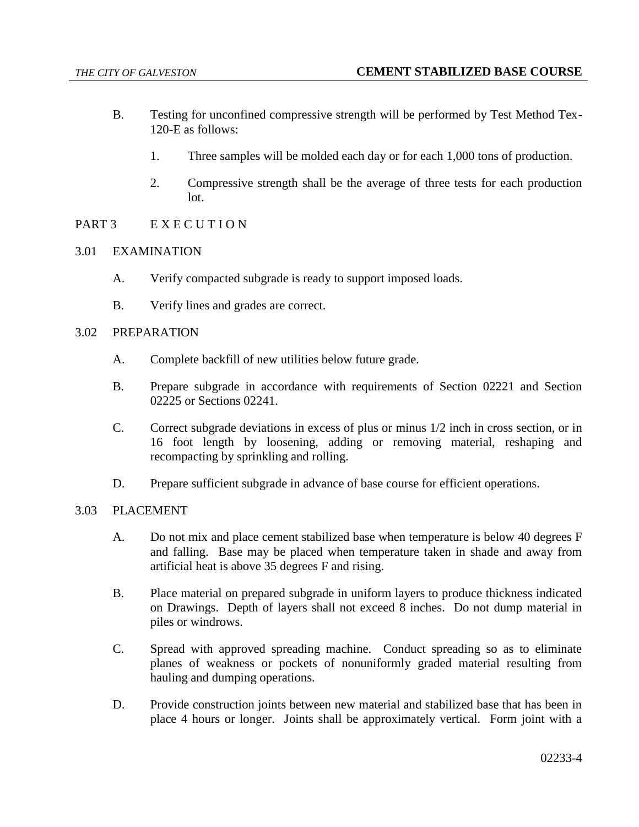- B. Testing for unconfined compressive strength will be performed by Test Method Tex-120-E as follows:
	- 1. Three samples will be molded each day or for each 1,000 tons of production.
	- 2. Compressive strength shall be the average of three tests for each production lot.
- PART 3 EXECUTION
- 3.01 EXAMINATION
	- A. Verify compacted subgrade is ready to support imposed loads.
	- B. Verify lines and grades are correct.

## 3.02 PREPARATION

- A. Complete backfill of new utilities below future grade.
- B. Prepare subgrade in accordance with requirements of Section 02221 and Section 02225 or Sections 02241.
- C. Correct subgrade deviations in excess of plus or minus 1/2 inch in cross section, or in 16 foot length by loosening, adding or removing material, reshaping and recompacting by sprinkling and rolling.
- D. Prepare sufficient subgrade in advance of base course for efficient operations.

## 3.03 PLACEMENT

- A. Do not mix and place cement stabilized base when temperature is below 40 degrees F and falling. Base may be placed when temperature taken in shade and away from artificial heat is above 35 degrees F and rising.
- B. Place material on prepared subgrade in uniform layers to produce thickness indicated on Drawings. Depth of layers shall not exceed 8 inches. Do not dump material in piles or windrows.
- C. Spread with approved spreading machine. Conduct spreading so as to eliminate planes of weakness or pockets of nonuniformly graded material resulting from hauling and dumping operations.
- D. Provide construction joints between new material and stabilized base that has been in place 4 hours or longer. Joints shall be approximately vertical. Form joint with a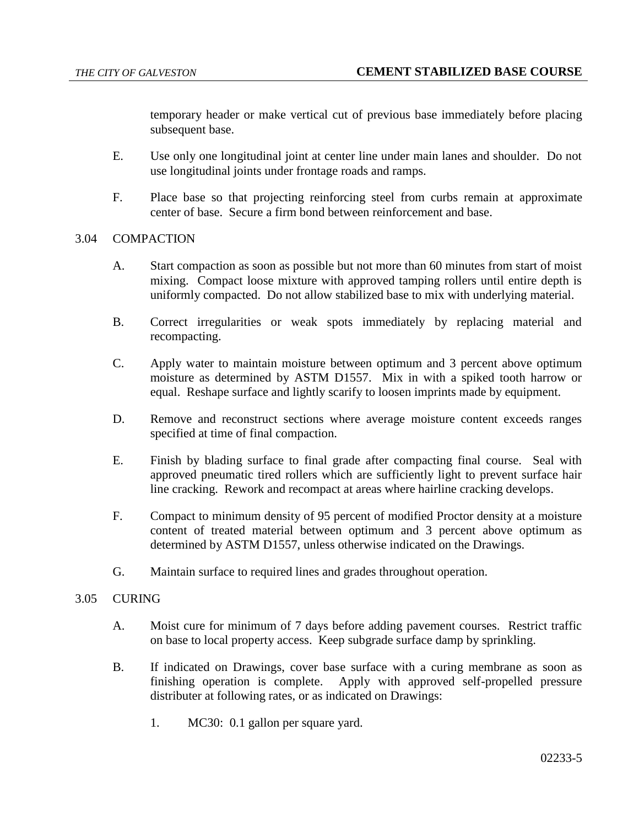temporary header or make vertical cut of previous base immediately before placing subsequent base.

- E. Use only one longitudinal joint at center line under main lanes and shoulder. Do not use longitudinal joints under frontage roads and ramps.
- F. Place base so that projecting reinforcing steel from curbs remain at approximate center of base. Secure a firm bond between reinforcement and base.

## 3.04 COMPACTION

- A. Start compaction as soon as possible but not more than 60 minutes from start of moist mixing. Compact loose mixture with approved tamping rollers until entire depth is uniformly compacted. Do not allow stabilized base to mix with underlying material.
- B. Correct irregularities or weak spots immediately by replacing material and recompacting.
- C. Apply water to maintain moisture between optimum and 3 percent above optimum moisture as determined by ASTM D1557. Mix in with a spiked tooth harrow or equal. Reshape surface and lightly scarify to loosen imprints made by equipment.
- D. Remove and reconstruct sections where average moisture content exceeds ranges specified at time of final compaction.
- E. Finish by blading surface to final grade after compacting final course. Seal with approved pneumatic tired rollers which are sufficiently light to prevent surface hair line cracking. Rework and recompact at areas where hairline cracking develops.
- F. Compact to minimum density of 95 percent of modified Proctor density at a moisture content of treated material between optimum and 3 percent above optimum as determined by ASTM D1557, unless otherwise indicated on the Drawings.
- G. Maintain surface to required lines and grades throughout operation.

## 3.05 CURING

- A. Moist cure for minimum of 7 days before adding pavement courses. Restrict traffic on base to local property access. Keep subgrade surface damp by sprinkling.
- B. If indicated on Drawings, cover base surface with a curing membrane as soon as finishing operation is complete. Apply with approved self-propelled pressure distributer at following rates, or as indicated on Drawings:
	- 1. MC30: 0.1 gallon per square yard.